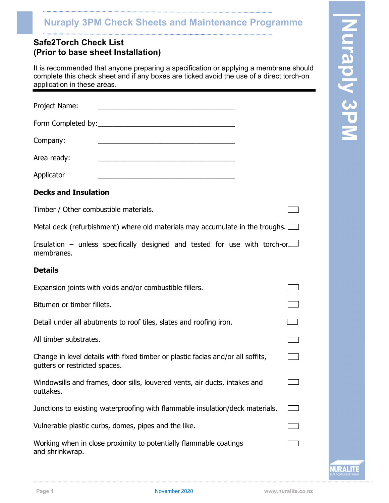# (Prior to base sheet Installation)

| <b>Nuraply 3PM Check Sheets and Maintenance Programme</b>                                                                                                                                                        |           |
|------------------------------------------------------------------------------------------------------------------------------------------------------------------------------------------------------------------|-----------|
| <b>Safe2Torch Check List</b><br>(Prior to base sheet Installation)                                                                                                                                               | DIFE      |
| It is recommended that anyone preparing a specification or applying a membrane should<br>complete this check sheet and if any boxes are ticked avoid the use of a direct torch-on<br>application in these areas. | DIX       |
| Project Name:                                                                                                                                                                                                    |           |
| Form Completed by:                                                                                                                                                                                               | <u>PR</u> |
| Company:                                                                                                                                                                                                         |           |
| Area ready:                                                                                                                                                                                                      |           |
| Applicator                                                                                                                                                                                                       |           |

# Decks and Insulation

Timber / Other combustible materials.

Metal deck (refurbishment) where old materials may accumulate in the troughs.  $\Box$ 

Insulation – unless specifically designed and tested for use with torch-on membranes.

# **Details**

| Expansion joints with voids and/or combustible fillers.                                                          |  |
|------------------------------------------------------------------------------------------------------------------|--|
| Bitumen or timber fillets.                                                                                       |  |
| Detail under all abutments to roof tiles, slates and roofing iron.                                               |  |
| All timber substrates.                                                                                           |  |
| Change in level details with fixed timber or plastic facias and/or all soffits,<br>gutters or restricted spaces. |  |
| Windowsills and frames, door sills, louvered vents, air ducts, intakes and<br>outtakes.                          |  |
| Junctions to existing waterproofing with flammable insulation/deck materials.                                    |  |
| Vulnerable plastic curbs, domes, pipes and the like.                                                             |  |
| Working when in close proximity to potentially flammable coatings<br>and shrinkwrap.                             |  |
|                                                                                                                  |  |

**IURALIT**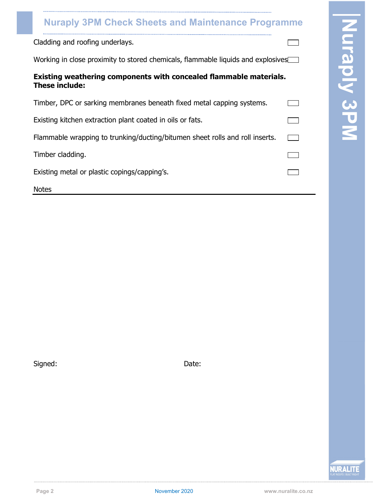# Existing weathering components with concealed flammable materials. These include:

| <b>Nuraply 3PM Check Sheets and Maintenance Programme</b>                                   |                                      |  |
|---------------------------------------------------------------------------------------------|--------------------------------------|--|
| Cladding and roofing underlays.                                                             |                                      |  |
| Working in close proximity to stored chemicals, flammable liquids and explosives            | <b>R</b>                             |  |
| Existing weathering components with concealed flammable materials.<br><b>These include:</b> | p<br>$\overline{\blacktriangledown}$ |  |
| Timber, DPC or sarking membranes beneath fixed metal capping systems.                       |                                      |  |
| Existing kitchen extraction plant coated in oils or fats.                                   | BN                                   |  |
| Flammable wrapping to trunking/ducting/bitumen sheet rolls and roll inserts.                |                                      |  |
| Timber cladding.                                                                            |                                      |  |
| Existing metal or plastic copings/capping's.                                                |                                      |  |
| <b>Notes</b>                                                                                |                                      |  |

Signed: Date:



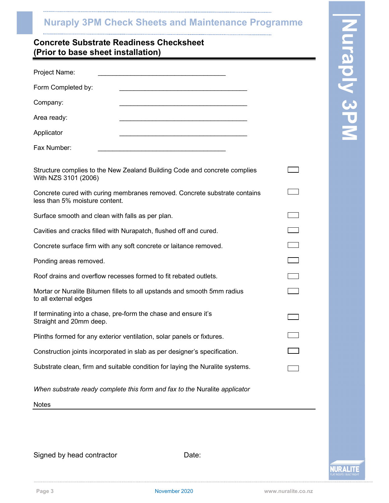# (Prior to base sheet installation)

| <b>Nuraply 3PM Check Sheets and Maintenance Programme</b>                                                   |                      |  |
|-------------------------------------------------------------------------------------------------------------|----------------------|--|
| <b>Concrete Substrate Readiness Checksheet</b><br>(Prior to base sheet installation)                        | $\overline{\square}$ |  |
| Project Name:                                                                                               | <b>Iraply 3PM</b>    |  |
| Form Completed by:                                                                                          |                      |  |
| Company:                                                                                                    |                      |  |
| Area ready:                                                                                                 |                      |  |
| Applicator                                                                                                  |                      |  |
| Fax Number:                                                                                                 |                      |  |
| Structure complies to the New Zealand Building Code and concrete complies<br>With NZS 3101 (2006)           |                      |  |
| Concrete cured with curing membranes removed. Concrete substrate contains<br>less than 5% moisture content. |                      |  |
| Surface smooth and clean with falls as per plan.                                                            |                      |  |
| Cavities and cracks filled with Nurapatch, flushed off and cured.                                           |                      |  |
| Concrete surface firm with any soft concrete or laitance removed.                                           |                      |  |
| Ponding areas removed.                                                                                      |                      |  |
| Roof drains and overflow recesses formed to fit rebated outlets.                                            |                      |  |
| Mortar or Nuralite Bitumen fillets to all upstands and smooth 5mm radius<br>to all external edges           |                      |  |
| If terminating into a chase, pre-form the chase and ensure it's<br>Straight and 20mm deep.                  |                      |  |
| Plinths formed for any exterior ventilation, solar panels or fixtures.                                      |                      |  |
| Construction joints incorporated in slab as per designer's specification.                                   |                      |  |
| Substrate clean, firm and suitable condition for laying the Nuralite systems.                               |                      |  |
| When substrate ready complete this form and fax to the Nuralite applicator                                  |                      |  |
|                                                                                                             |                      |  |

Signed by head contractor **Date:** Date:

**IURALITI**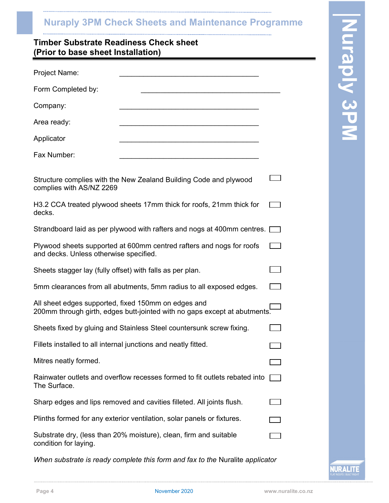# (Prior to base sheet Installation)

| <b>Nuraply 3PM Check Sheets and Maintenance Programme</b>                                                                        |            |
|----------------------------------------------------------------------------------------------------------------------------------|------------|
| <b>Timber Substrate Readiness Check sheet</b><br>(Prior to base sheet Installation)                                              | urapiy 3PM |
| <b>Project Name:</b>                                                                                                             |            |
| Form Completed by:                                                                                                               |            |
| Company:                                                                                                                         |            |
| Area ready:                                                                                                                      |            |
| Applicator                                                                                                                       |            |
| Fax Number:                                                                                                                      |            |
| Structure complies with the New Zealand Building Code and plywood<br>complies with AS/NZ 2269                                    |            |
| H3.2 CCA treated plywood sheets 17mm thick for roofs, 21mm thick for<br>decks.                                                   |            |
| Strandboard laid as per plywood with rafters and nogs at 400mm centres.                                                          |            |
| Plywood sheets supported at 600mm centred rafters and nogs for roofs<br>and decks. Unless otherwise specified.                   |            |
| Sheets stagger lay (fully offset) with falls as per plan.                                                                        |            |
| 5mm clearances from all abutments, 5mm radius to all exposed edges.                                                              |            |
| All sheet edges supported, fixed 150mm on edges and<br>200mm through girth, edges butt-jointed with no gaps except at abutments. |            |
| Sheets fixed by gluing and Stainless Steel countersunk screw fixing.                                                             |            |
| Fillets installed to all internal junctions and neatly fitted.                                                                   |            |
| Mitres neatly formed.                                                                                                            |            |
| Rainwater outlets and overflow recesses formed to fit outlets rebated into<br>The Surface.                                       |            |
| Sharp edges and lips removed and cavities filleted. All joints flush.                                                            |            |
| Plinths formed for any exterior ventilation, solar panels or fixtures.                                                           |            |
| Substrate dry, (less than 20% moisture), clean, firm and suitable<br>condition for laying.                                       |            |
| When substrate is ready complete this form and fax to the Nuralite applicator                                                    |            |

**NURALITI**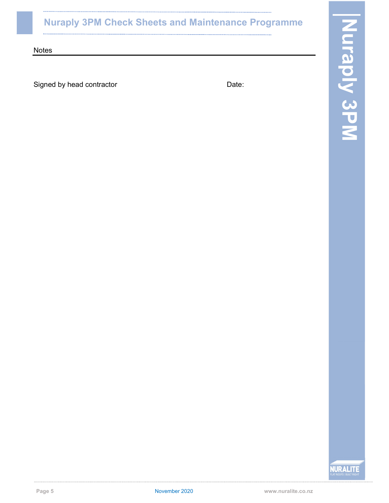Signed by head contractor example and the Date:

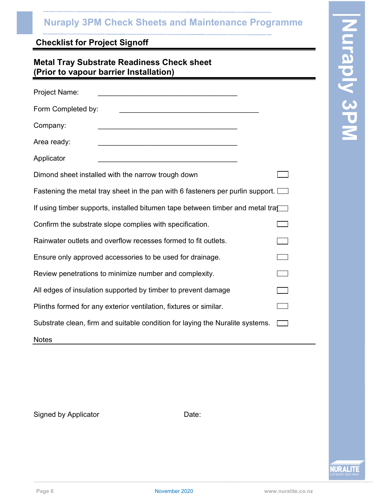| <b>Metal Tray Substrate Readiness Check sheet</b> |  |
|---------------------------------------------------|--|
| (Prior to vapour barrier Installation)            |  |

| <b>Nuraply 3PM Check Sheets and Maintenance Programme</b>                                   |                    |
|---------------------------------------------------------------------------------------------|--------------------|
| <b>Checklist for Project Signoff</b>                                                        |                    |
| <b>Metal Tray Substrate Readiness Check sheet</b><br>(Prior to vapour barrier Installation) | <b>Nuraply 3PM</b> |
| Project Name:                                                                               |                    |
| Form Completed by:                                                                          |                    |
| Company:                                                                                    |                    |
| Area ready:                                                                                 |                    |
| Applicator                                                                                  |                    |
| Dimond sheet installed with the narrow trough down                                          |                    |
| Fastening the metal tray sheet in the pan with 6 fasteners per purlin support. $\Box$       |                    |
| If using timber supports, installed bitumen tape between timber and metal tra               |                    |
| Confirm the substrate slope complies with specification.                                    |                    |
| Rainwater outlets and overflow recesses formed to fit outlets.                              |                    |
| Ensure only approved accessories to be used for drainage.                                   |                    |
| Review penetrations to minimize number and complexity.                                      |                    |
| All edges of insulation supported by timber to prevent damage                               |                    |
| Plinths formed for any exterior ventilation, fixtures or similar.                           |                    |
| Substrate clean, firm and suitable condition for laying the Nuralite systems.               |                    |
| <b>Notes</b>                                                                                |                    |

**NURALITI**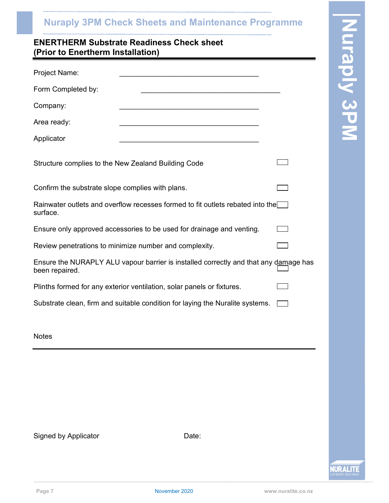# (Prior to Enertherm Installation)

| <b>Nuraply 3PM Check Sheets and Maintenance Programme</b>                                              |                   |
|--------------------------------------------------------------------------------------------------------|-------------------|
| <b>ENERTHERM Substrate Readiness Check sheet</b><br>(Prior to Enertherm Installation)                  |                   |
| Project Name:                                                                                          | <b>Iraply 3PM</b> |
| Form Completed by:                                                                                     |                   |
| Company:                                                                                               |                   |
| Area ready:                                                                                            |                   |
| Applicator                                                                                             |                   |
| Structure complies to the New Zealand Building Code                                                    |                   |
| Confirm the substrate slope complies with plans.                                                       |                   |
| Rainwater outlets and overflow recesses formed to fit outlets rebated into the<br>surface.             |                   |
| Ensure only approved accessories to be used for drainage and venting.                                  |                   |
| Review penetrations to minimize number and complexity.                                                 |                   |
| Ensure the NURAPLY ALU vapour barrier is installed correctly and that any damage has<br>been repaired. |                   |
| Plinths formed for any exterior ventilation, solar panels or fixtures.                                 |                   |
| Substrate clean, firm and suitable condition for laying the Nuralite systems. $\Box$                   |                   |
| <b>Notes</b>                                                                                           |                   |
|                                                                                                        |                   |
|                                                                                                        |                   |
|                                                                                                        |                   |
| Signed by Applicator<br>Date:                                                                          |                   |
|                                                                                                        |                   |

**NURALITE**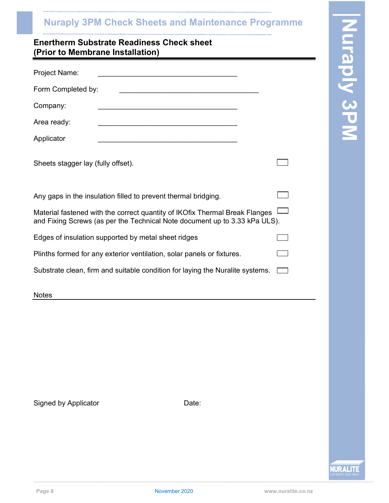| <b>Nuraply 3PM Check Sheets and Maintenance Programme</b>                                                                                                 |            |
|-----------------------------------------------------------------------------------------------------------------------------------------------------------|------------|
| <b>Enertherm Substrate Readiness Check sheet</b><br>(Prior to Membrane Installation)                                                                      | uraply 3PM |
| Project Name:                                                                                                                                             |            |
| Form Completed by:                                                                                                                                        |            |
| Company:                                                                                                                                                  |            |
| Area ready:                                                                                                                                               |            |
| Applicator                                                                                                                                                |            |
| Sheets stagger lay (fully offset).                                                                                                                        |            |
| Any gaps in the insulation filled to prevent thermal bridging.                                                                                            |            |
| Material fastened with the correct quantity of IKOfix Thermal Break Flanges<br>and Fixing Screws (as per the Technical Note document up to 3.33 kPa ULS). |            |
| Edges of insulation supported by metal sheet ridges                                                                                                       |            |
| Plinths formed for any exterior ventilation, solar panels or fixtures.                                                                                    |            |
| Substrate clean, firm and suitable condition for laying the Nuralite systems.                                                                             |            |
| <b>Notes</b>                                                                                                                                              |            |
|                                                                                                                                                           |            |
|                                                                                                                                                           |            |
|                                                                                                                                                           |            |
| Signed by Applicator<br>Date:                                                                                                                             |            |

**NURALITE**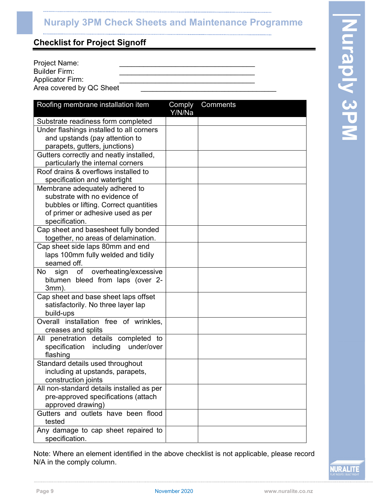| Project Name:            |  |
|--------------------------|--|
| Builder Firm:            |  |
| <b>Applicator Firm:</b>  |  |
| Area covered by QC Sheet |  |

| <b>Nuraply 3PM Check Sheets and Maintenance Programme</b>                                                                                                                                                                                                                                                                                                                                                                                                                                                                                                                                                                                                                                       |          |                   |
|-------------------------------------------------------------------------------------------------------------------------------------------------------------------------------------------------------------------------------------------------------------------------------------------------------------------------------------------------------------------------------------------------------------------------------------------------------------------------------------------------------------------------------------------------------------------------------------------------------------------------------------------------------------------------------------------------|----------|-------------------|
| <b>Checklist for Project Signoff</b>                                                                                                                                                                                                                                                                                                                                                                                                                                                                                                                                                                                                                                                            |          |                   |
| Project Name:<br><b>Builder Firm:</b><br><b>Applicator Firm:</b><br>Area covered by QC Sheet                                                                                                                                                                                                                                                                                                                                                                                                                                                                                                                                                                                                    |          | <b>Uraply 3PM</b> |
| Roofing membrane installation item<br>Comply<br>Y/N/Na                                                                                                                                                                                                                                                                                                                                                                                                                                                                                                                                                                                                                                          | Comments |                   |
| Substrate readiness form completed<br>Under flashings installed to all corners<br>and upstands (pay attention to<br>parapets, gutters, junctions)<br>Gutters correctly and neatly installed,<br>particularly the internal corners<br>Roof drains & overflows installed to<br>specification and watertight<br>Membrane adequately adhered to<br>substrate with no evidence of<br>bubbles or lifting. Correct quantities<br>of primer or adhesive used as per<br>specification.<br>Cap sheet and basesheet fully bonded<br>together, no areas of delamination.<br>Cap sheet side laps 80mm and end<br>laps 100mm fully welded and tidily<br>seamed off.<br>overheating/excessive<br>No sign<br>of |          |                   |
| bitumen bleed from laps (over 2-<br>$3mm$ ).<br>Cap sheet and base sheet laps offset<br>satisfactorily. No three layer lap<br>build-ups<br>Overall installation free of wrinkles,<br>creases and splits<br>All penetration details completed to                                                                                                                                                                                                                                                                                                                                                                                                                                                 |          |                   |
| specification including under/over<br>flashing<br>Standard details used throughout<br>including at upstands, parapets,<br>construction joints<br>All non-standard details installed as per                                                                                                                                                                                                                                                                                                                                                                                                                                                                                                      |          |                   |
| pre-approved specifications (attach<br>approved drawing)<br>Gutters and outlets have been flood<br>tested<br>Any damage to cap sheet repaired to<br>specification.                                                                                                                                                                                                                                                                                                                                                                                                                                                                                                                              |          |                   |

Note: Where an element identified in the above checklist is not applicable, please record N/A in the comply column.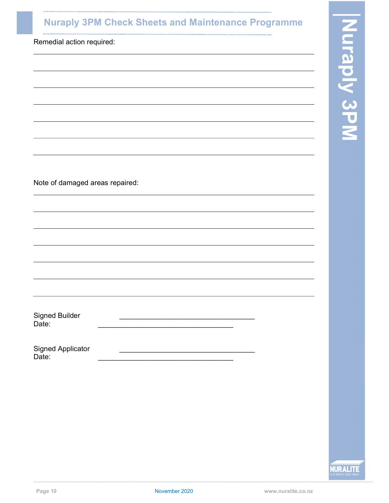| <b>Nuraply 3PM Check Sheets and Maintenance Programme</b> |  |
|-----------------------------------------------------------|--|
| Remedial action required:                                 |  |
|                                                           |  |
|                                                           |  |
|                                                           |  |
|                                                           |  |
|                                                           |  |
|                                                           |  |
| Note of damaged areas repaired:                           |  |
|                                                           |  |
|                                                           |  |
|                                                           |  |
|                                                           |  |
|                                                           |  |
| <b>Signed Builder</b><br>Date:                            |  |
|                                                           |  |
| <b>Signed Applicator</b><br>Date:                         |  |
|                                                           |  |

. . . . . . . . . .

**NURALITE** 

**Contract**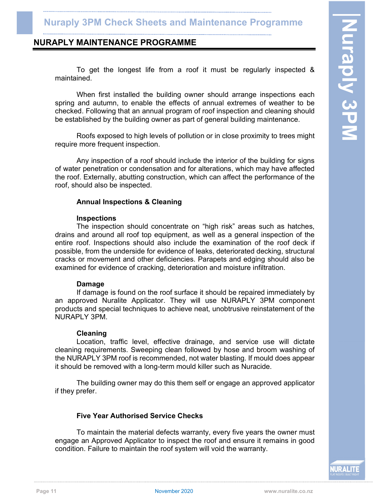To get the longest life from a roof it must be regularly inspected & maintained.

NURAPLY MAINTENANCE PROGRAMME<br>
To get the longest life from a roof it must be regularly inspected &<br>
maintained.<br>
When first installed the building owner should arrange inspections each<br>
spring and autumn, to enable the ef When first installed the building owner should arrange inspections each spring and autumn, to enable the effects of annual extremes of weather to be checked. Following that an annual program of roof inspection and cleaning should be established by the building owner as part of general building maintenance.

 Roofs exposed to high levels of pollution or in close proximity to trees might require more frequent inspection.

 Any inspection of a roof should include the interior of the building for signs of water penetration or condensation and for alterations, which may have affected the roof. Externally, abutting construction, which can affect the performance of the roof, should also be inspected.

### Annual Inspections & Cleaning

### Inspections

 The inspection should concentrate on "high risk" areas such as hatches, drains and around all roof top equipment, as well as a general inspection of the entire roof. Inspections should also include the examination of the roof deck if possible, from the underside for evidence of leaks, deteriorated decking, structural cracks or movement and other deficiencies. Parapets and edging should also be examined for evidence of cracking, deterioration and moisture infiltration.

### Damage

 If damage is found on the roof surface it should be repaired immediately by an approved Nuralite Applicator. They will use NURAPLY 3PM component products and special techniques to achieve neat, unobtrusive reinstatement of the NURAPLY 3PM.

### Cleaning

 Location, traffic level, effective drainage, and service use will dictate cleaning requirements. Sweeping clean followed by hose and broom washing of the NURAPLY 3PM roof is recommended, not water blasting. If mould does appear it should be removed with a long-term mould killer such as Nuracide.

 The building owner may do this them self or engage an approved applicator if they prefer.

### Five Year Authorised Service Checks

 To maintain the material defects warranty, every five years the owner must engage an Approved Applicator to inspect the roof and ensure it remains in good condition. Failure to maintain the roof system will void the warranty.

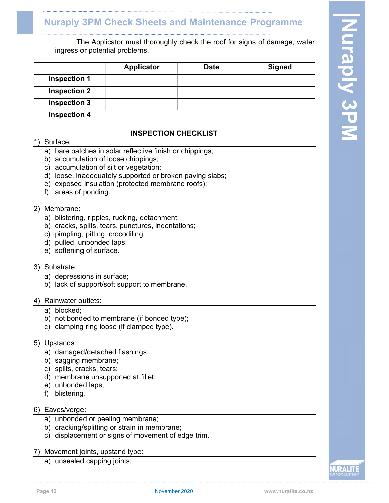| ingress or potential problems. | The Applicator must thoroughly check the roof for signs of damage, water |             |               | N                               |
|--------------------------------|--------------------------------------------------------------------------|-------------|---------------|---------------------------------|
|                                | Applicator                                                               | <b>Date</b> | <b>Signed</b> |                                 |
| <b>Inspection 1</b>            |                                                                          |             |               | $\frac{\mathbf{O}}{\mathbf{C}}$ |
| <b>Inspection 2</b>            |                                                                          |             |               |                                 |
| <b>Inspection 3</b>            |                                                                          |             |               | 57                              |
| <b>Inspection 4</b>            |                                                                          |             |               | IU                              |

# INSPECTION CHECKLIST

### 1) Surface:

- a) bare patches in solar reflective finish or chippings;
- b) accumulation of loose chippings;
- c) accumulation of silt or vegetation;
- d) loose, inadequately supported or broken paving slabs;
- e) exposed insulation (protected membrane roofs);
- f) areas of ponding.

### 2) Membrane:

- a) blistering, ripples, rucking, detachment;
- b) cracks, splits, tears, punctures, indentations;
- c) pimpling, pitting, crocodiling;
- d) pulled, unbonded laps;
- e) softening of surface.

### 3) Substrate:

- a) depressions in surface;
- b) lack of support/soft support to membrane.

### 4) Rainwater outlets:

- a) blocked;
- b) not bonded to membrane (if bonded type);
- c) clamping ring loose (if clamped type).

### 5) Upstands:

- a) damaged/detached flashings;
- b) sagging membrane;
- c) splits, cracks, tears;
- d) membrane unsupported at fillet;
- e) unbonded laps;
- f) blistering.

### 6) Eaves/verge:

- a) unbonded or peeling membrane;
- b) cracking/splitting or strain in membrane;
- c) displacement or signs of movement of edge trim.
- 7) Movement joints, upstand type:
	- a) unsealed capping joints;